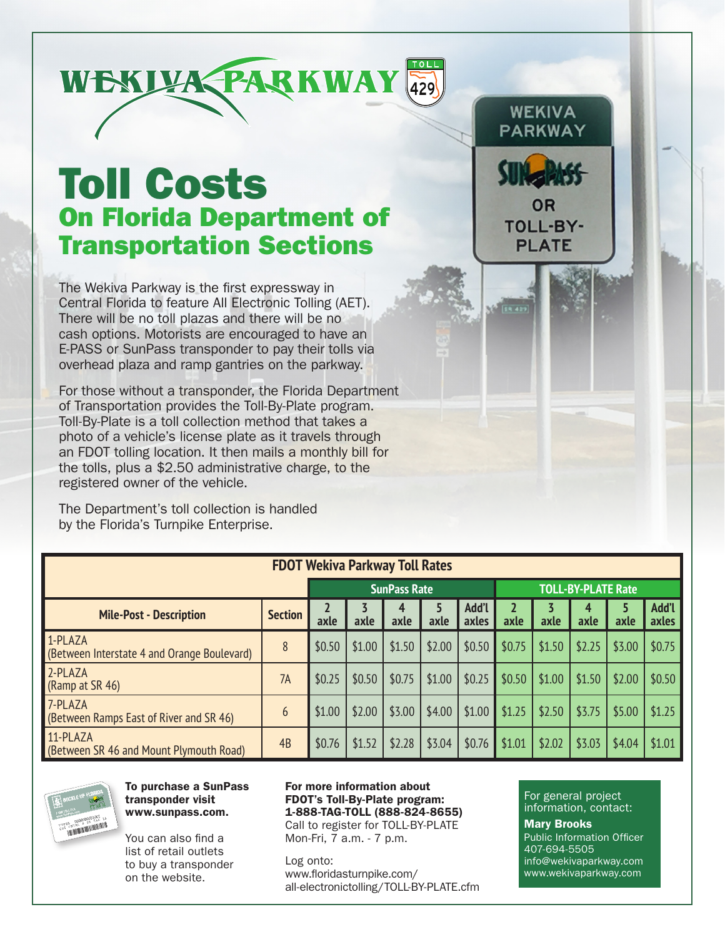

## Toll Costs On Florida Department of Transportation Sections

The Wekiva Parkway is the first expressway in Central Florida to feature All Electronic Tolling (AET). There will be no toll plazas and there will be no cash options. Motorists are encouraged to have an E-PASS or SunPass transponder to pay their tolls via overhead plaza and ramp gantries on the parkway.

For those without a transponder, the Florida Department of Transportation provides the Toll-By-Plate program. Toll-By-Plate is a toll collection method that takes a photo of a vehicle's license plate as it travels through an FDOT tolling location. It then mails a monthly bill for the tolls, plus a \$2.50 administrative charge, to the registered owner of the vehicle.

The Department's toll collection is handled by the Florida's Turnpike Enterprise.

| <b>FDOT Wekiva Parkway Toll Rates</b>                  |                |        |        |                     |        |                |                           |        |        |        |                |  |
|--------------------------------------------------------|----------------|--------|--------|---------------------|--------|----------------|---------------------------|--------|--------|--------|----------------|--|
|                                                        |                |        |        | <b>SunPass Rate</b> |        |                | <b>TOLL-BY-PLATE Rate</b> |        |        |        |                |  |
| <b>Mile-Post - Description</b>                         | <b>Section</b> | axle   | axle   | axle                | axle   | Add'l<br>axles | axle                      | axle   | axle   | axle   | Add'l<br>axles |  |
| 1-PLAZA<br>(Between Interstate 4 and Orange Boulevard) | 8              | \$0.50 | \$1.00 | \$1.50              | \$2.00 | \$0.50         | \$0.75                    | \$1.50 | \$2.25 | \$3.00 | \$0.75         |  |
| 2-PLAZA<br>(Ramp at SR 46)                             | 7A             | \$0.25 | \$0.50 | \$0.75              | \$1.00 | \$0.25         | \$0.50                    | \$1.00 | \$1.50 | \$2.00 | \$0.50         |  |
| 7-PLAZA<br>(Between Ramps East of River and SR 46)     | 6              | \$1.00 | \$2.00 | \$3.00              | \$4.00 | \$1.00         | \$1.25                    | \$2.50 | \$3.75 | \$5.00 | \$1.25         |  |
| 11-PLAZA<br>(Between SR 46 and Mount Plymouth Road)    | 4B             | \$0.76 | \$1.52 | \$2.28              | \$3.04 | \$0.76         | \$1.01                    | \$2.02 | \$3.03 | \$4.04 | \$1.01         |  |



To purchase a SunPass transponder visit www.sunpass.com.

You can also find a list of retail outlets to buy a transponder on the website.

For more information about FDOT's Toll-By-Plate program: 1-888-TAG-TOLL (888-824-8655) Call to register for TOLL-BY-PLATE

Mon-Fri, 7 a.m. - 7 p.m.

Log onto: www.floridasturnpike.com/ all-electronictolling/TOLL-BY-PLATE.cfm

For general project information, contact:

**WEKIVA** PARKWAY

OR **TOLL-BY-PLATE** 

**ER 423** 

Mary Brooks Public Information Officer 407-694-5505 info@wekivaparkway.com www.wekivaparkway.com